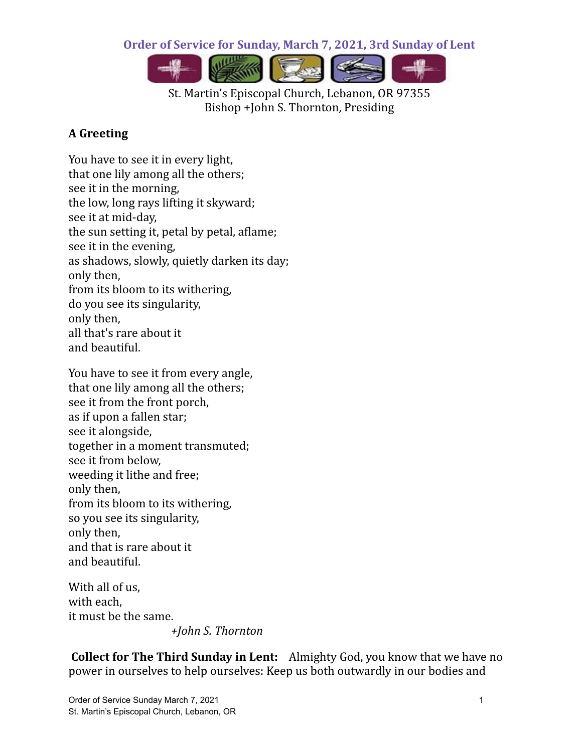**Order of Service for Sunday, March 7, 2021, 3rd Sunday of Lent**



St. Martin's Episcopal Church, Lebanon, OR 97355 Bishop +John S. Thornton, Presiding

## **A Greeting**

You have to see it in every light, that one lily among all the others; see it in the morning, the low, long rays lifting it skyward; see it at mid-day, the sun setting it, petal by petal, aflame; see it in the evening, as shadows, slowly, quietly darken its day; only then, from its bloom to its withering, do you see its singularity, only then, all that's rare about it and beautiful.

You have to see it from every angle, that one lily among all the others; see it from the front porch, as if upon a fallen star; see it alongside, together in a moment transmuted; see it from below, weeding it lithe and free; only then, from its bloom to its withering, so you see its singularity, only then, and that is rare about it and beautiful.

With all of us, with each, it must be the same.

*+John S. Thornton*

**Collect for The Third Sunday in Lent:** Almighty God, you know that we have no power in ourselves to help ourselves: Keep us both outwardly in our bodies and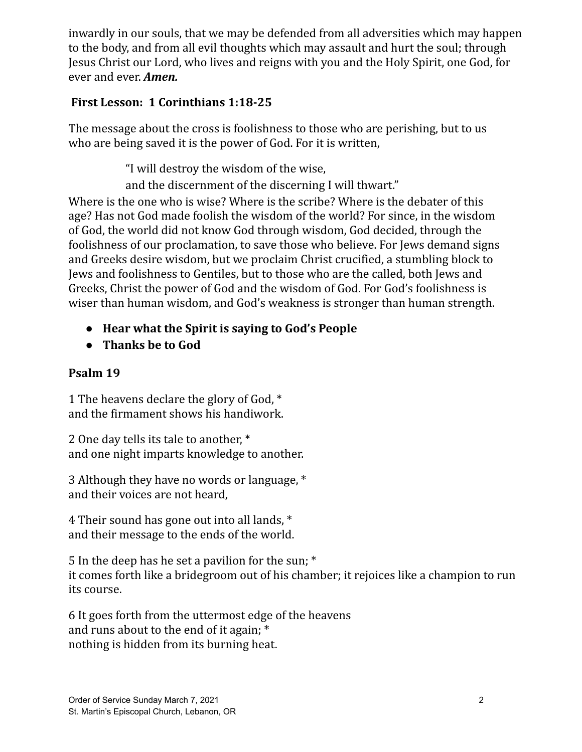inwardly in our souls, that we may be defended from all adversities which may happen to the body, and from all evil thoughts which may assault and hurt the soul; through Jesus Christ our Lord, who lives and reigns with you and the Holy Spirit, one God, for ever and ever. *Amen.*

### **First Lesson: 1 Corinthians 1:18-25**

The message about the cross is foolishness to those who are perishing, but to us who are being saved it is the power of God. For it is written,

"I will destroy the wisdom of the wise,

and the discernment of the discerning I will thwart."

Where is the one who is wise? Where is the scribe? Where is the debater of this age? Has not God made foolish the wisdom of the world? For since, in the wisdom of God, the world did not know God through wisdom, God decided, through the foolishness of our proclamation, to save those who believe. For Jews demand signs and Greeks desire wisdom, but we proclaim Christ crucified, a stumbling block to Jews and foolishness to Gentiles, but to those who are the called, both Jews and Greeks, Christ the power of God and the wisdom of God. For God's foolishness is wiser than human wisdom, and God's weakness is stronger than human strength.

- **● Hear what the Spirit is saying to God's People**
- **● Thanks be to God**

## **Psalm 19**

1 The heavens declare the glory of God, \* and the firmament shows his handiwork.

2 One day tells its tale to another, \* and one night imparts knowledge to another.

3 Although they have no words or language, \* and their voices are not heard,

4 Their sound has gone out into all lands, \* and their message to the ends of the world.

5 In the deep has he set a pavilion for the sun; \* it comes forth like a bridegroom out of his chamber; it rejoices like a champion to run its course.

6 It goes forth from the uttermost edge of the heavens and runs about to the end of it again; \* nothing is hidden from its burning heat.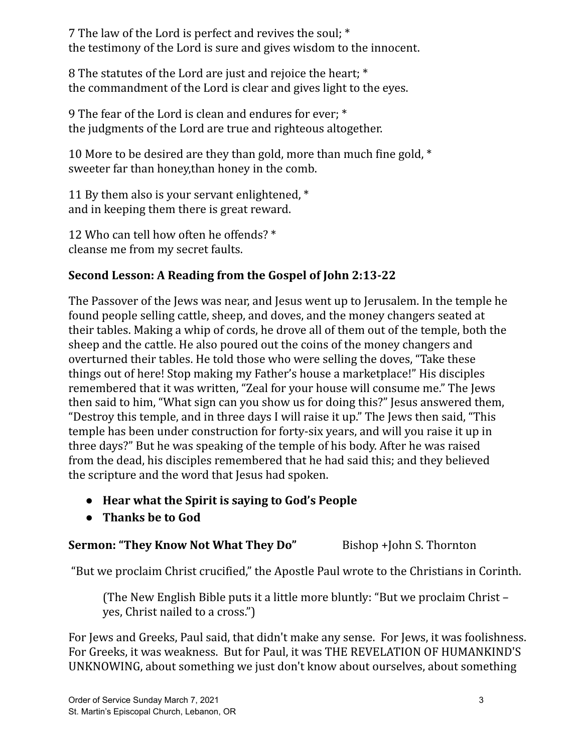7 The law of the Lord is perfect and revives the soul; \* the testimony of the Lord is sure and gives wisdom to the innocent.

8 The statutes of the Lord are just and rejoice the heart; \* the commandment of the Lord is clear and gives light to the eyes.

9 The fear of the Lord is clean and endures for ever; \* the judgments of the Lord are true and righteous altogether.

10 More to be desired are they than gold, more than much fine gold, \* sweeter far than honey,than honey in the comb.

11 By them also is your servant enlightened, \* and in keeping them there is great reward.

12 Who can tell how often he offends? \* cleanse me from my secret faults.

## **Second Lesson: A Reading from the Gospel of John 2:13-22**

The Passover of the Jews was near, and Jesus went up to Jerusalem. In the temple he found people selling cattle, sheep, and doves, and the money changers seated at their tables. Making a whip of cords, he drove all of them out of the temple, both the sheep and the cattle. He also poured out the coins of the money changers and overturned their tables. He told those who were selling the doves, "Take these things out of here! Stop making my Father's house a marketplace!" His disciples remembered that it was written, "Zeal for your house will consume me." The Jews then said to him, "What sign can you show us for doing this?" Jesus answered them, "Destroy this temple, and in three days I will raise it up." The Jews then said, "This temple has been under construction for forty-six years, and will you raise it up in three days?" But he was speaking of the temple of his body. After he was raised from the dead, his disciples remembered that he had said this; and they believed the scripture and the word that Jesus had spoken.

- **● Hear what the Spirit is saying to God's People**
- **● Thanks be to God**

### **Sermon: "They Know Not What They Do"** Bishop +John S. Thornton

"But we proclaim Christ crucified," the Apostle Paul wrote to the Christians in Corinth.

(The New English Bible puts it a little more bluntly: "But we proclaim Christ – yes, Christ nailed to a cross.")

For Jews and Greeks, Paul said, that didn't make any sense. For Jews, it was foolishness. For Greeks, it was weakness. But for Paul, it was THE REVELATION OF HUMANKIND'S UNKNOWING, about something we just don't know about ourselves, about something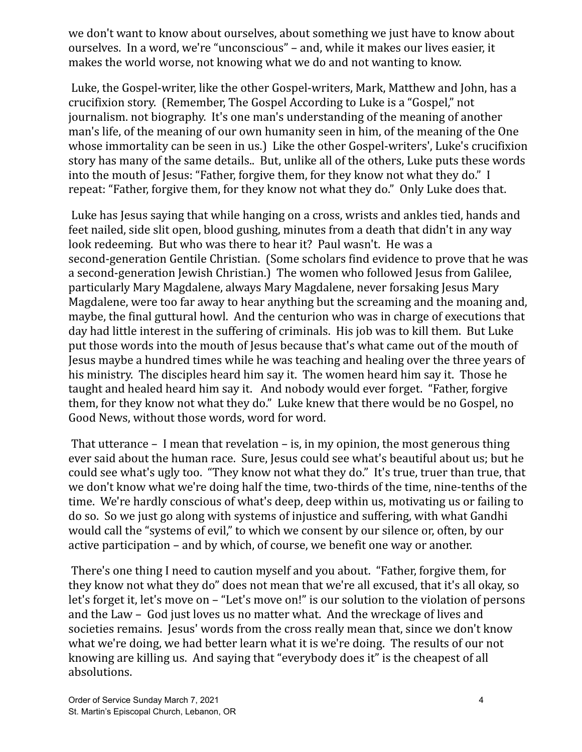we don't want to know about ourselves, about something we just have to know about ourselves. In a word, we're "unconscious" – and, while it makes our lives easier, it makes the world worse, not knowing what we do and not wanting to know.

Luke, the Gospel-writer, like the other Gospel-writers, Mark, Matthew and John, has a crucifixion story. (Remember, The Gospel According to Luke is a "Gospel," not journalism. not biography. It's one man's understanding of the meaning of another man's life, of the meaning of our own humanity seen in him, of the meaning of the One whose immortality can be seen in us.) Like the other Gospel-writers', Luke's crucifixion story has many of the same details.. But, unlike all of the others, Luke puts these words into the mouth of Jesus: "Father, forgive them, for they know not what they do." I repeat: "Father, forgive them, for they know not what they do." Only Luke does that.

Luke has Jesus saying that while hanging on a cross, wrists and ankles tied, hands and feet nailed, side slit open, blood gushing, minutes from a death that didn't in any way look redeeming. But who was there to hear it? Paul wasn't. He was a second-generation Gentile Christian. (Some scholars find evidence to prove that he was a second-generation Jewish Christian.) The women who followed Jesus from Galilee, particularly Mary Magdalene, always Mary Magdalene, never forsaking Jesus Mary Magdalene, were too far away to hear anything but the screaming and the moaning and, maybe, the final guttural howl. And the centurion who was in charge of executions that day had little interest in the suffering of criminals. His job was to kill them. But Luke put those words into the mouth of Jesus because that's what came out of the mouth of Jesus maybe a hundred times while he was teaching and healing over the three years of his ministry. The disciples heard him say it. The women heard him say it. Those he taught and healed heard him say it. And nobody would ever forget. "Father, forgive them, for they know not what they do." Luke knew that there would be no Gospel, no Good News, without those words, word for word.

That utterance – I mean that revelation – is, in my opinion, the most generous thing ever said about the human race. Sure, Jesus could see what's beautiful about us; but he could see what's ugly too. "They know not what they do." It's true, truer than true, that we don't know what we're doing half the time, two-thirds of the time, nine-tenths of the time. We're hardly conscious of what's deep, deep within us, motivating us or failing to do so. So we just go along with systems of injustice and suffering, with what Gandhi would call the "systems of evil," to which we consent by our silence or, often, by our active participation – and by which, of course, we benefit one way or another.

There's one thing I need to caution myself and you about. "Father, forgive them, for they know not what they do" does not mean that we're all excused, that it's all okay, so let's forget it, let's move on – "Let's move on!" is our solution to the violation of persons and the Law – God just loves us no matter what. And the wreckage of lives and societies remains. Jesus' words from the cross really mean that, since we don't know what we're doing, we had better learn what it is we're doing. The results of our not knowing are killing us. And saying that "everybody does it" is the cheapest of all absolutions.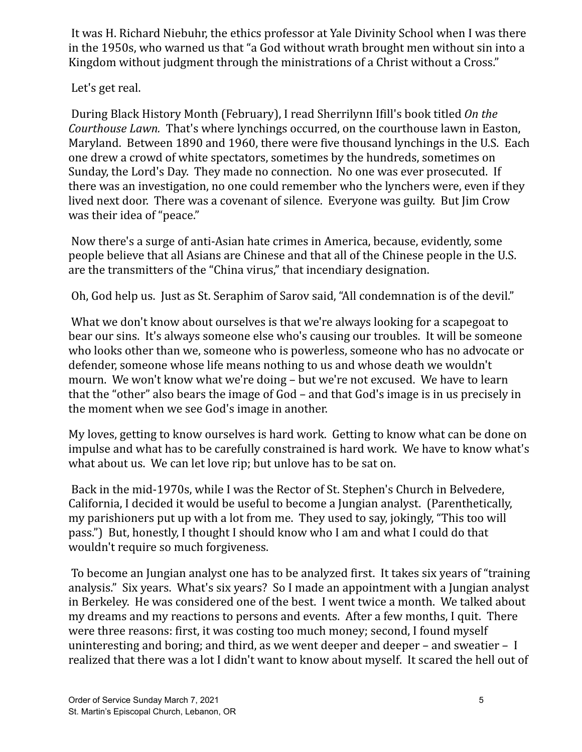It was H. Richard Niebuhr, the ethics professor at Yale Divinity School when I was there in the 1950s, who warned us that "a God without wrath brought men without sin into a Kingdom without judgment through the ministrations of a Christ without a Cross."

Let's get real.

During Black History Month (February), I read Sherrilynn Ifill's book titled *On the Courthouse Lawn.* That's where lynchings occurred, on the courthouse lawn in Easton, Maryland. Between 1890 and 1960, there were five thousand lynchings in the U.S. Each one drew a crowd of white spectators, sometimes by the hundreds, sometimes on Sunday, the Lord's Day. They made no connection. No one was ever prosecuted. If there was an investigation, no one could remember who the lynchers were, even if they lived next door. There was a covenant of silence. Everyone was guilty. But Jim Crow was their idea of "peace."

Now there's a surge of anti-Asian hate crimes in America, because, evidently, some people believe that all Asians are Chinese and that all of the Chinese people in the U.S. are the transmitters of the "China virus," that incendiary designation.

Oh, God help us. Just as St. Seraphim of Sarov said, "All condemnation is of the devil."

What we don't know about ourselves is that we're always looking for a scapegoat to bear our sins. It's always someone else who's causing our troubles. It will be someone who looks other than we, someone who is powerless, someone who has no advocate or defender, someone whose life means nothing to us and whose death we wouldn't mourn. We won't know what we're doing – but we're not excused. We have to learn that the "other" also bears the image of God – and that God's image is in us precisely in the moment when we see God's image in another.

My loves, getting to know ourselves is hard work. Getting to know what can be done on impulse and what has to be carefully constrained is hard work. We have to know what's what about us. We can let love rip; but unlove has to be sat on.

Back in the mid-1970s, while I was the Rector of St. Stephen's Church in Belvedere, California, I decided it would be useful to become a Jungian analyst. (Parenthetically, my parishioners put up with a lot from me. They used to say, jokingly, "This too will pass.") But, honestly, I thought I should know who I am and what I could do that wouldn't require so much forgiveness.

To become an Jungian analyst one has to be analyzed first. It takes six years of "training analysis." Six years. What's six years? So I made an appointment with a Jungian analyst in Berkeley. He was considered one of the best. I went twice a month. We talked about my dreams and my reactions to persons and events. After a few months, I quit. There were three reasons: first, it was costing too much money; second, I found myself uninteresting and boring; and third, as we went deeper and deeper – and sweatier – I realized that there was a lot I didn't want to know about myself. It scared the hell out of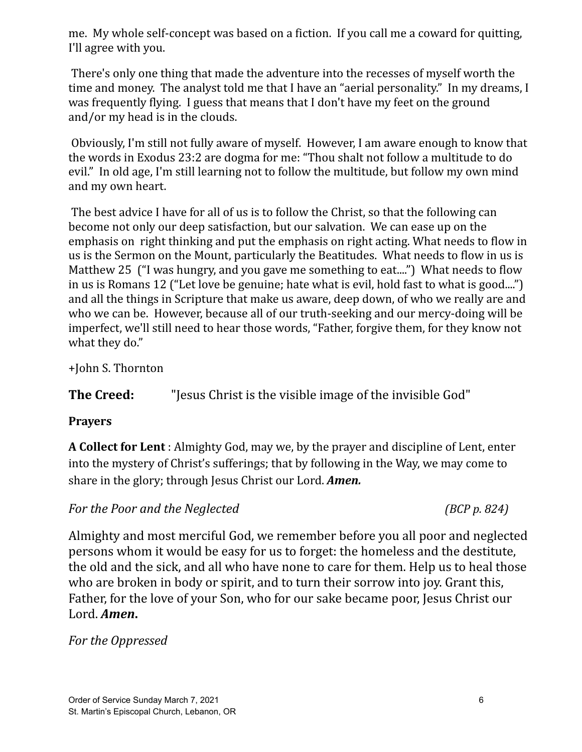me. My whole self-concept was based on a fiction. If you call me a coward for quitting, I'll agree with you.

There's only one thing that made the adventure into the recesses of myself worth the time and money. The analyst told me that I have an "aerial personality." In my dreams, I was frequently flying. I guess that means that I don't have my feet on the ground and/or my head is in the clouds.

Obviously, I'm still not fully aware of myself. However, I am aware enough to know that the words in Exodus 23:2 are dogma for me: "Thou shalt not follow a multitude to do evil." In old age, I'm still learning not to follow the multitude, but follow my own mind and my own heart.

The best advice I have for all of us is to follow the Christ, so that the following can become not only our deep satisfaction, but our salvation. We can ease up on the emphasis on right thinking and put the emphasis on right acting. What needs to flow in us is the Sermon on the Mount, particularly the Beatitudes. What needs to flow in us is Matthew 25 ("I was hungry, and you gave me something to eat....") What needs to flow in us is Romans 12 ("Let love be genuine; hate what is evil, hold fast to what is good....") and all the things in Scripture that make us aware, deep down, of who we really are and who we can be. However, because all of our truth-seeking and our mercy-doing will be imperfect, we'll still need to hear those words, "Father, forgive them, for they know not what they do."

+John S. Thornton

**The Creed:** "Jesus Christ is the visible image of the invisible God"

### **Prayers**

**A Collect for Lent** : Almighty God, may we, by the prayer and discipline of Lent, enter into the mystery of Christ's sufferings; that by following in the Way, we may come to share in the glory; through Jesus Christ our Lord. *Amen.*

*For the Poor and the Neglected (BCP p. 824)*

Almighty and most merciful God, we remember before you all poor and neglected persons whom it would be easy for us to forget: the homeless and the destitute, the old and the sick, and all who have none to care for them. Help us to heal those who are broken in body or spirit, and to turn their sorrow into joy. Grant this, Father, for the love of your Son, who for our sake became poor, Jesus Christ our Lord. *Amen***.**

*For the Oppressed*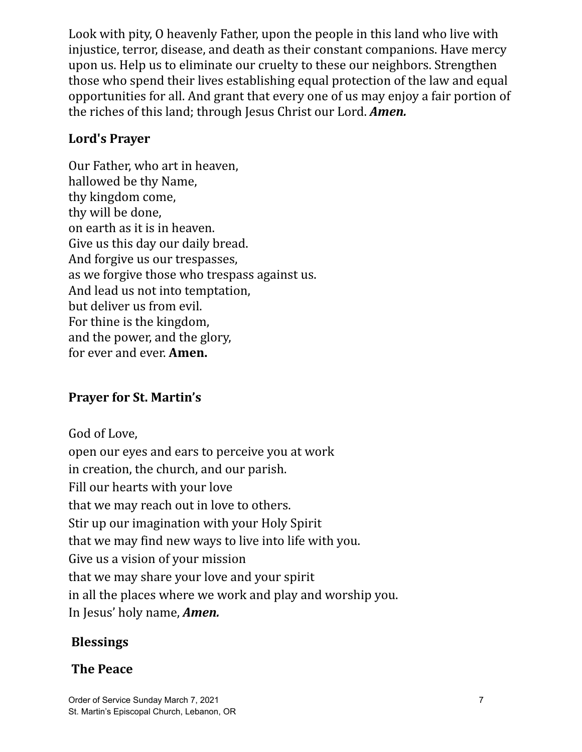Look with pity, O heavenly Father, upon the people in this land who live with injustice, terror, disease, and death as their constant companions. Have mercy upon us. Help us to eliminate our cruelty to these our neighbors. Strengthen those who spend their lives establishing equal protection of the law and equal opportunities for all. And grant that every one of us may enjoy a fair portion of the riches of this land; through Jesus Christ our Lord. *Amen.*

## **Lord's Prayer**

Our Father, who art in heaven, hallowed be thy Name, thy kingdom come, thy will be done, on earth as it is in heaven. Give us this day our daily bread. And forgive us our trespasses, as we forgive those who trespass against us. And lead us not into temptation, but deliver us from evil. For thine is the kingdom, and the power, and the glory, for ever and ever. **Amen.**

# **Prayer for St. Martin's**

God of Love, open our eyes and ears to perceive you at work in creation, the church, and our parish. Fill our hearts with your love that we may reach out in love to others. Stir up our imagination with your Holy Spirit that we may find new ways to live into life with you. Give us a vision of your mission that we may share your love and your spirit in all the places where we work and play and worship you. In Jesus' holy name, *Amen.*

# **Blessings**

# **The Peace**